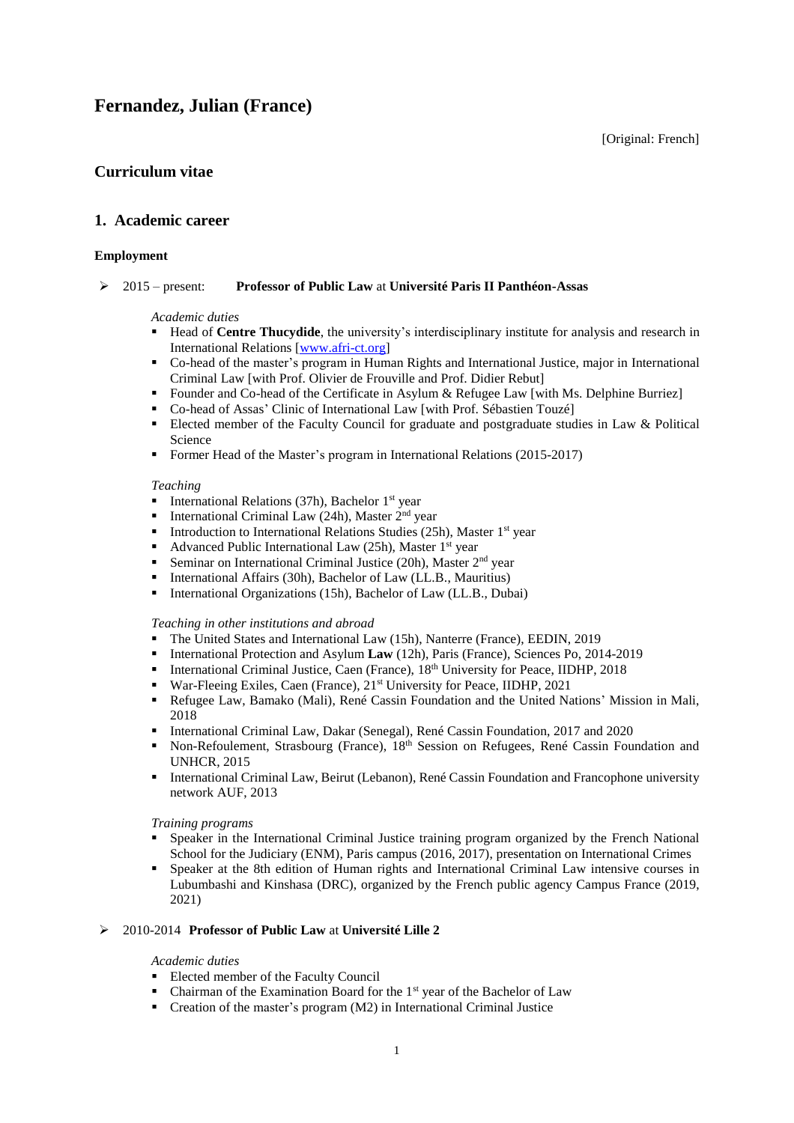[Original: French]

# **Curriculum vitae**

# **1. Academic career**

## **Employment**

## 2015 – present: **Professor of Public Law** at **Université Paris II Panthéon-Assas**

### *Academic duties*

- **Head of Centre Thucydide**, the university's interdisciplinary institute for analysis and research in International Relations [\[www.afri-ct.org\]](http://www.afri-ct.org/)
- Co-head of the master's program in Human Rights and International Justice, major in International Criminal Law [with Prof. Olivier de Frouville and Prof. Didier Rebut]
- Founder and Co-head of the Certificate in Asylum & Refugee Law [with Ms. Delphine Burriez]
- Co-head of Assas' Clinic of International Law [with Prof. Sébastien Touzé]
- Elected member of the Faculty Council for graduate and postgraduate studies in Law  $&$  Political Science
- Former Head of the Master's program in International Relations (2015-2017)

### *Teaching*

- International Relations (37h), Bachelor  $1<sup>st</sup>$  year
- International Criminal Law (24h), Master  $2<sup>nd</sup>$  year
- Introduction to International Relations Studies (25h), Master 1<sup>st</sup> year
- Advanced Public International Law (25h), Master 1<sup>st</sup> year
- **Seminar on International Criminal Justice (20h), Master 2<sup>nd</sup> year**
- International Affairs (30h), Bachelor of Law (LL.B., Mauritius)
- **International Organizations (15h), Bachelor of Law (LL.B., Dubai)**

### *Teaching in other institutions and abroad*

- The United States and International Law (15h), Nanterre (France), EEDIN, 2019
- International Protection and Asylum Law (12h), Paris (France), Sciences Po, 2014-2019
- International Criminal Justice, Caen (France),  $18<sup>th</sup>$  University for Peace, IIDHP, 2018
- War-Fleeing Exiles, Caen (France), 21<sup>st</sup> University for Peace, IIDHP, 2021
- Refugee Law, Bamako (Mali), René Cassin Foundation and the United Nations' Mission in Mali, 2018
- International Criminal Law, Dakar (Senegal), René Cassin Foundation, 2017 and 2020
- Non-Refoulement, Strasbourg (France), 18<sup>th</sup> Session on Refugees, René Cassin Foundation and UNHCR, 2015
- **International Criminal Law, Beirut (Lebanon), René Cassin Foundation and Francophone university** network AUF, 2013

### *Training programs*

- Speaker in the International Criminal Justice training program organized by the French National School for the Judiciary (ENM), Paris campus (2016, 2017), presentation on International Crimes
- Speaker at the 8th edition of Human rights and International Criminal Law intensive courses in Lubumbashi and Kinshasa (DRC), organized by the French public agency Campus France (2019, 2021)

# 2010-2014 **Professor of Public Law** at **Université Lille 2**

### *Academic duties*

- Elected member of the Faculty Council
- Chairman of the Examination Board for the  $1<sup>st</sup>$  year of the Bachelor of Law
- Creation of the master's program (M2) in International Criminal Justice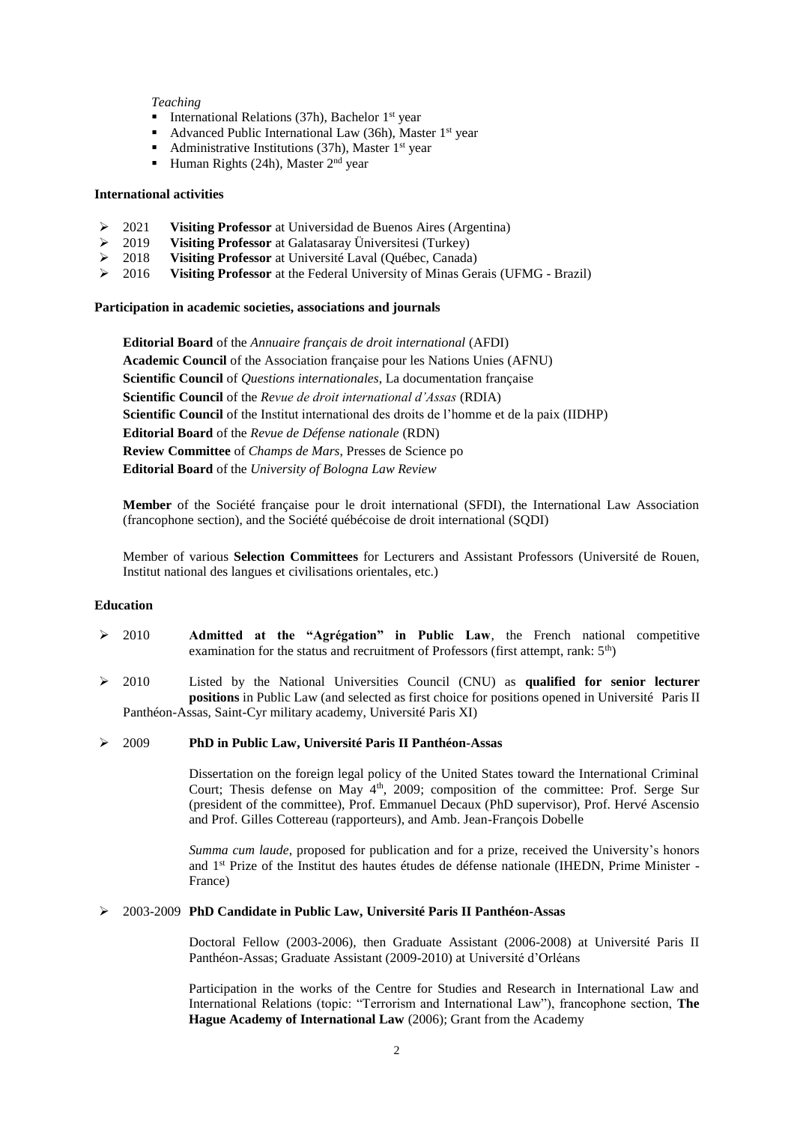### *Teaching*

- International Relations (37h), Bachelor  $1<sup>st</sup>$  year
- Advanced Public International Law (36h), Master 1<sup>st</sup> year
- Administrative Institutions (37h), Master  $1<sup>st</sup>$  year
- Human Rights (24h), Master  $2<sup>nd</sup>$  year

### **International activities**

- 2021 **Visiting Professor** at Universidad de Buenos Aires (Argentina)
- 2019 **Visiting Professor** at Galatasaray Üniversitesi (Turkey)
- 
- **Visiting Professor** at the Federal University of Minas Gerais (UFMG Brazil)

### **Participation in academic societies, associations and journals**

**Editorial Board** of the *Annuaire français de droit international* (AFDI) **Academic Council** of the Association française pour les Nations Unies (AFNU) **Scientific Council** of *Questions internationales*, La documentation française **Scientific Council** of the *Revue de droit international d'Assas* (RDIA) **Scientific Council** of the Institut international des droits de l'homme et de la paix (IIDHP) **Editorial Board** of the *Revue de Défense nationale* (RDN) **Review Committee** of *Champs de Mars*, Presses de Science po **Editorial Board** of the *University of Bologna Law Review*

**Member** of the Société française pour le droit international (SFDI), the International Law Association (francophone section), and the Société québécoise de droit international (SQDI)

Member of various **Selection Committees** for Lecturers and Assistant Professors (Université de Rouen, Institut national des langues et civilisations orientales, etc.)

### **Education**

- 2010 **Admitted at the "Agrégation" in Public Law**, the French national competitive examination for the status and recruitment of Professors (first attempt, rank:  $5<sup>th</sup>$ )
- 2010 Listed by the National Universities Council (CNU) as **qualified for senior lecturer positions** in Public Law (and selected as first choice for positions opened in Université Paris II Panthéon-Assas, Saint-Cyr military academy, Université Paris XI)

### 2009 **PhD in Public Law, Université Paris II Panthéon-Assas**

Dissertation on the foreign legal policy of the United States toward the International Criminal Court; Thesis defense on May 4<sup>th</sup>, 2009; composition of the committee: Prof. Serge Sur (president of the committee), Prof. Emmanuel Decaux (PhD supervisor), Prof. Hervé Ascensio and Prof. Gilles Cottereau (rapporteurs), and Amb. Jean-François Dobelle

*Summa cum laude*, proposed for publication and for a prize, received the University's honors and 1st Prize of the Institut des hautes études de défense nationale (IHEDN, Prime Minister - France)

### 2003-2009 **PhD Candidate in Public Law, Université Paris II Panthéon-Assas**

Doctoral Fellow (2003-2006), then Graduate Assistant (2006-2008) at Université Paris II Panthéon-Assas; Graduate Assistant (2009-2010) at Université d'Orléans

Participation in the works of the Centre for Studies and Research in International Law and International Relations (topic: "Terrorism and International Law"), francophone section, **The Hague Academy of International Law** (2006); Grant from the Academy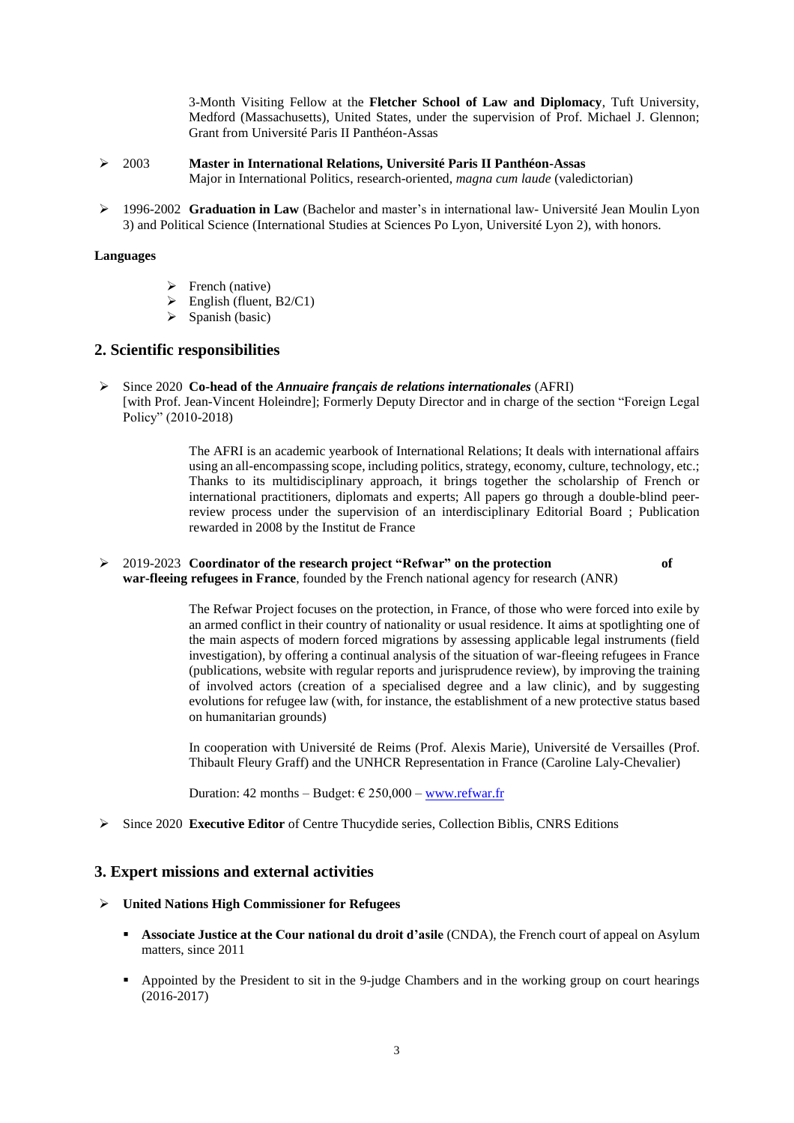3-Month Visiting Fellow at the **Fletcher School of Law and Diplomacy**, Tuft University, Medford (Massachusetts), United States, under the supervision of Prof. Michael J. Glennon; Grant from Université Paris II Panthéon-Assas

- 2003 **Master in International Relations, Université Paris II Panthéon-Assas** Major in International Politics, research-oriented, *magna cum laude* (valedictorian)
- 1996-2002 **Graduation in Law** (Bachelor and master's in international law- Université Jean Moulin Lyon 3) and Political Science (International Studies at Sciences Po Lyon, Université Lyon 2), with honors.

## **Languages**

- $\triangleright$  French (native)
- $\triangleright$  English (fluent, B2/C1)
- $\triangleright$  Spanish (basic)

# **2. Scientific responsibilities**

 Since 2020 **Co-head of the** *Annuaire français de relations internationales* (AFRI) [with Prof. Jean-Vincent Holeindre]; Formerly Deputy Director and in charge of the section "Foreign Legal Policy" (2010-2018)

> The AFRI is an academic yearbook of International Relations; It deals with international affairs using an all-encompassing scope, including politics, strategy, economy, culture, technology, etc.; Thanks to its multidisciplinary approach, it brings together the scholarship of French or international practitioners, diplomats and experts; All papers go through a double-blind peerreview process under the supervision of an interdisciplinary Editorial Board ; Publication rewarded in 2008 by the Institut de France

## 2019-2023 **Coordinator of the research project "Refwar" on the protection of**

**war-fleeing refugees in France**, founded by the French national agency for research (ANR)

The Refwar Project focuses on the protection, in France, of those who were forced into exile by an armed conflict in their country of nationality or usual residence. It aims at spotlighting one of the main aspects of modern forced migrations by assessing applicable legal instruments (field investigation), by offering a continual analysis of the situation of war-fleeing refugees in France (publications, website with regular reports and jurisprudence review), by improving the training of involved actors (creation of a specialised degree and a law clinic), and by suggesting evolutions for refugee law (with, for instance, the establishment of a new protective status based on humanitarian grounds)

In cooperation with Université de Reims (Prof. Alexis Marie), Université de Versailles (Prof. Thibault Fleury Graff) and the UNHCR Representation in France (Caroline Laly-Chevalier)

Duration: 42 months – Budget:  $\epsilon$  250,000 – [www.refwar.fr](http://www.refwar.fr/)

Since 2020 **Executive Editor** of Centre Thucydide series, Collection Biblis, CNRS Editions

# **3. Expert missions and external activities**

### **United Nations High Commissioner for Refugees**

- **Associate Justice at the Cour national du droit d'asile** (CNDA), the French court of appeal on Asylum matters, since 2011
- Appointed by the President to sit in the 9-judge Chambers and in the working group on court hearings (2016-2017)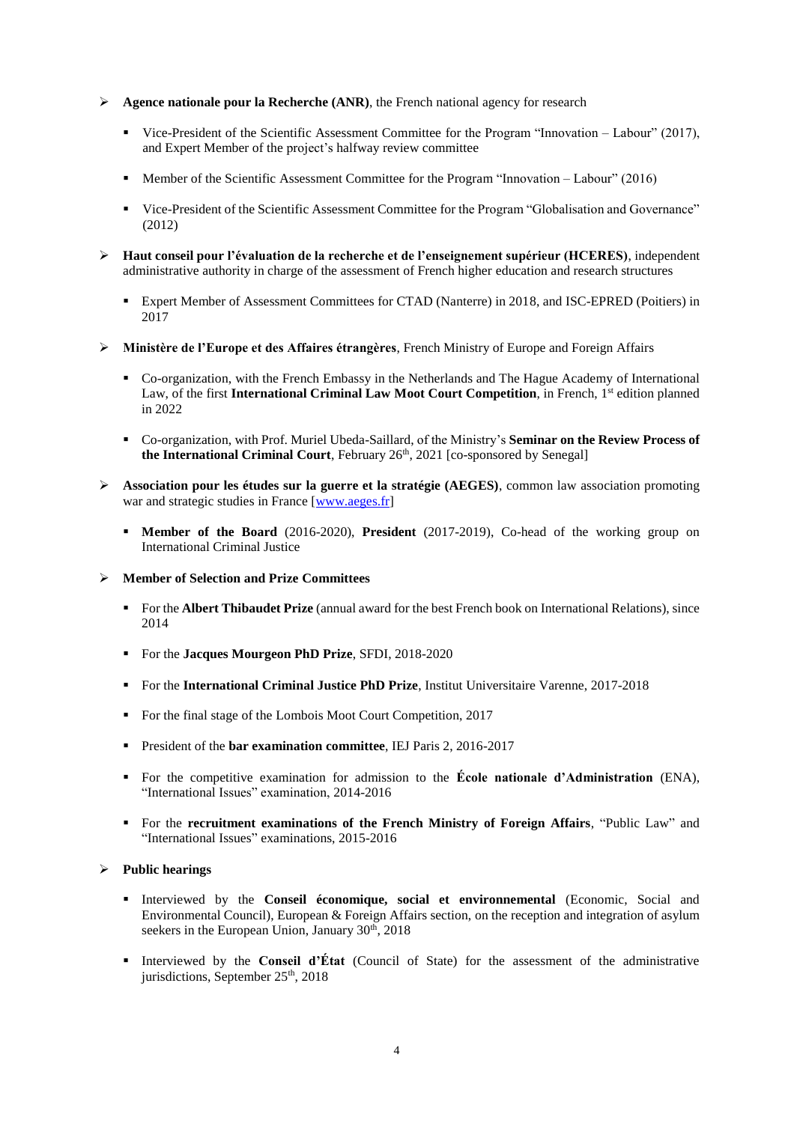- **► Agence nationale pour la Recherche (ANR)**, the French national agency for research
	- Vice-President of the Scientific Assessment Committee for the Program "Innovation Labour" (2017), and Expert Member of the project's halfway review committee
	- Member of the Scientific Assessment Committee for the Program "Innovation Labour" (2016)
	- Vice-President of the Scientific Assessment Committee for the Program "Globalisation and Governance" (2012)
- **Haut conseil pour l'évaluation de la recherche et de l'enseignement supérieur (HCERES)**, independent administrative authority in charge of the assessment of French higher education and research structures
	- Expert Member of Assessment Committees for CTAD (Nanterre) in 2018, and ISC-EPRED (Poitiers) in 2017
- **Ministère de l'Europe et des Affaires étrangères**, French Ministry of Europe and Foreign Affairs
	- Co-organization, with the French Embassy in the Netherlands and The Hague Academy of International Law, of the first International Criminal Law Moot Court Competition, in French, 1<sup>st</sup> edition planned in 2022
	- Co-organization, with Prof. Muriel Ubeda-Saillard, of the Ministry's **Seminar on the Review Process of the International Criminal Court**, February 26<sup>th</sup>, 2021 [co-sponsored by Senegal]
- **Association pour les études sur la guerre et la stratégie (AEGES)**, common law association promoting war and strategic studies in France [\[www.aeges.fr\]](http://www.aeges.fr/)
	- **Member of the Board** (2016-2020), **President** (2017-2019), Co-head of the working group on International Criminal Justice
- **Member of Selection and Prize Committees** 
	- For the **Albert Thibaudet Prize** (annual award for the best French book on International Relations), since 2014
	- For the **Jacques Mourgeon PhD Prize**, SFDI, 2018-2020
	- **For the International Criminal Justice PhD Prize, Institut Universitaire Varenne, 2017-2018**
	- For the final stage of the Lombois Moot Court Competition, 2017
	- President of the **bar examination committee**, IEJ Paris 2, 2016-2017
	- For the competitive examination for admission to the **École nationale d'Administration** (ENA), "International Issues" examination, 2014-2016
	- For the **recruitment examinations of the French Ministry of Foreign Affairs**, "Public Law" and "International Issues" examinations, 2015-2016

### **Public hearings**

- Interviewed by the **Conseil économique, social et environnemental** (Economic, Social and Environmental Council), European & Foreign Affairs section, on the reception and integration of asylum seekers in the European Union, January 30<sup>th</sup>, 2018
- Interviewed by the **Conseil d'État** (Council of State) for the assessment of the administrative jurisdictions, September  $25<sup>th</sup>$ , 2018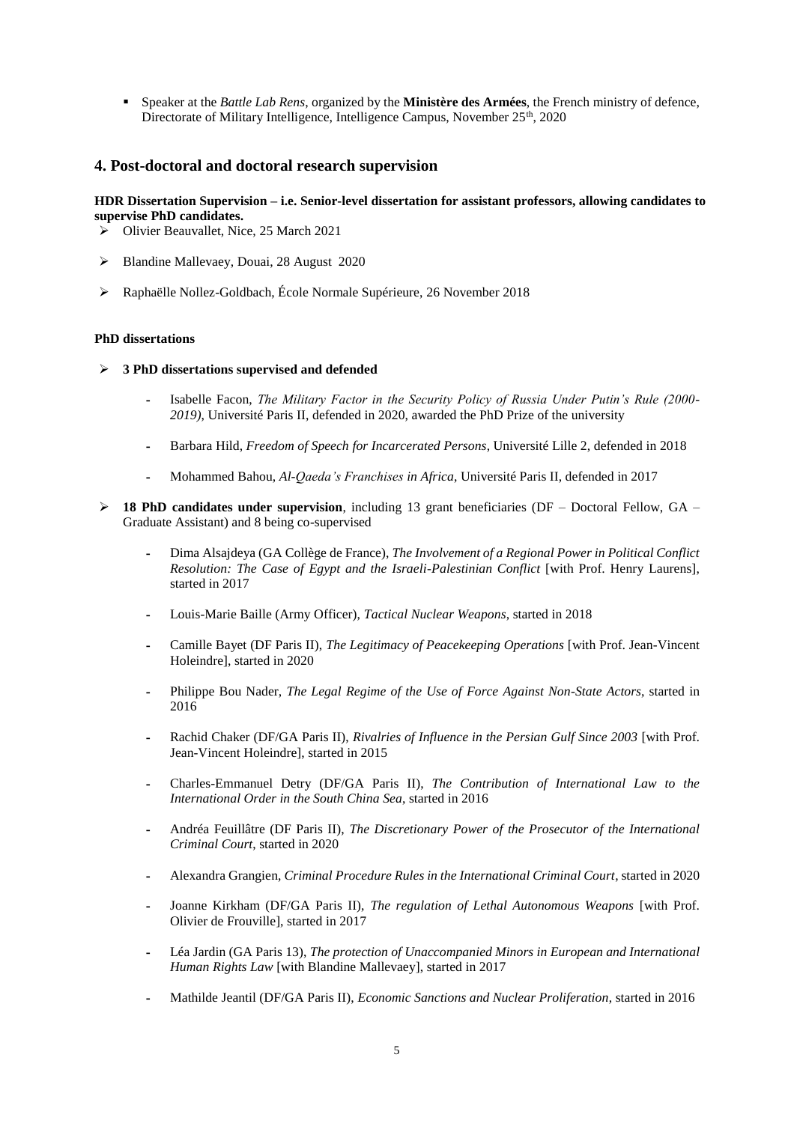Speaker at the *Battle Lab Rens*, organized by the **Ministère des Armées**, the French ministry of defence, Directorate of Military Intelligence, Intelligence Campus, November 25<sup>th</sup>, 2020

# **4. Post-doctoral and doctoral research supervision**

## **HDR Dissertation Supervision – i.e. Senior-level dissertation for assistant professors, allowing candidates to supervise PhD candidates.**

- Olivier Beauvallet, Nice, 25 March 2021
- Blandine Mallevaey, Douai, 28 August 2020
- Raphaëlle Nollez-Goldbach, École Normale Supérieure, 26 November 2018

### **PhD dissertations**

- **3 PhD dissertations supervised and defended** 
	- **-** Isabelle Facon, *The Military Factor in the Security Policy of Russia Under Putin's Rule (2000- 2019)*, Université Paris II, defended in 2020, awarded the PhD Prize of the university
	- **-** Barbara Hild, *Freedom of Speech for Incarcerated Persons*, Université Lille 2, defended in 2018
	- **-** Mohammed Bahou, *Al-Qaeda's Franchises in Africa*, Université Paris II, defended in 2017
- **18 PhD candidates under supervision**, including 13 grant beneficiaries (DF Doctoral Fellow, GA Graduate Assistant) and 8 being co-supervised
	- **-** Dima Alsajdeya (GA Collège de France), *The Involvement of a Regional Power in Political Conflict Resolution: The Case of Egypt and the Israeli-Palestinian Conflict* [with Prof. Henry Laurens], started in 2017
	- **-** Louis-Marie Baille (Army Officer), *Tactical Nuclear Weapons*, started in 2018
	- **-** Camille Bayet (DF Paris II), *The Legitimacy of Peacekeeping Operations* [with Prof. Jean-Vincent Holeindre], started in 2020
	- **-** Philippe Bou Nader, *The Legal Regime of the Use of Force Against Non-State Actors*, started in 2016
	- **-** Rachid Chaker (DF/GA Paris II), *Rivalries of Influence in the Persian Gulf Since 2003* [with Prof. Jean-Vincent Holeindre], started in 2015
	- **-** Charles-Emmanuel Detry (DF/GA Paris II), *The Contribution of International Law to the International Order in the South China Sea*, started in 2016
	- **-** Andréa Feuillâtre (DF Paris II), *The Discretionary Power of the Prosecutor of the International Criminal Court*, started in 2020
	- **-** Alexandra Grangien, *Criminal Procedure Rules in the International Criminal Court*, started in 2020
	- **-** Joanne Kirkham (DF/GA Paris II), *The regulation of Lethal Autonomous Weapons* [with Prof. Olivier de Frouville], started in 2017
	- **-** Léa Jardin (GA Paris 13), *The protection of Unaccompanied Minors in European and International Human Rights Law* [with Blandine Mallevaey], started in 2017
	- **-** Mathilde Jeantil (DF/GA Paris II), *Economic Sanctions and Nuclear Proliferation*, started in 2016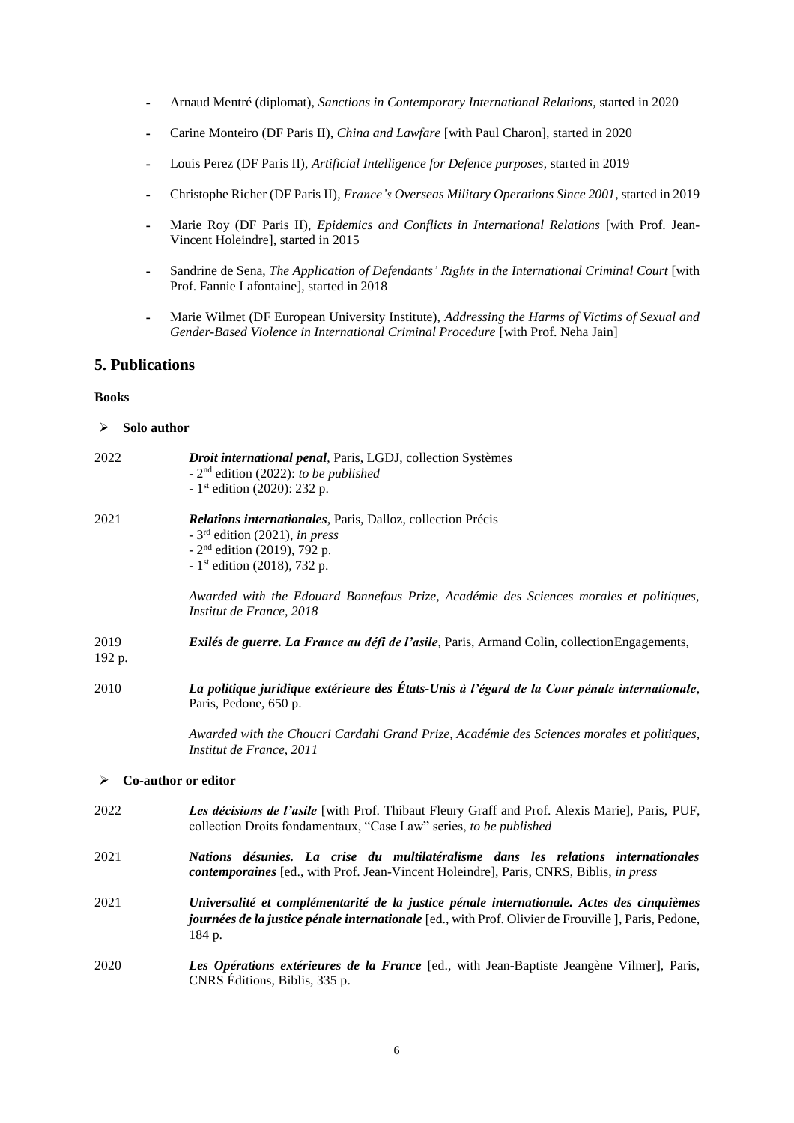- **-** Arnaud Mentré (diplomat), *Sanctions in Contemporary International Relations*, started in 2020
- **-** Carine Monteiro (DF Paris II), *China and Lawfare* [with Paul Charon], started in 2020
- **-** Louis Perez (DF Paris II), *Artificial Intelligence for Defence purposes*, started in 2019
- **-** Christophe Richer (DF Paris II), *France's Overseas Military Operations Since 2001*, started in 2019
- **-** Marie Roy (DF Paris II), *Epidemics and Conflicts in International Relations* [with Prof. Jean-Vincent Holeindre], started in 2015
- **-** Sandrine de Sena, *The Application of Defendants' Rights in the International Criminal Court* [with Prof. Fannie Lafontaine], started in 2018
- **-** Marie Wilmet (DF European University Institute), *Addressing the Harms of Victims of Sexual and Gender-Based Violence in International Criminal Procedure* [with Prof. Neha Jain]

# **5. Publications**

#### **Books**

### **Solo author**

| 2022           | Droit international penal, Paris, LGDJ, collection Systèmes<br>- $2nd$ edition (2022): to be published<br>- 1st edition (2020): 232 p.                                                                             |  |  |
|----------------|--------------------------------------------------------------------------------------------------------------------------------------------------------------------------------------------------------------------|--|--|
| 2021           | Relations internationales, Paris, Dalloz, collection Précis<br>$-3rd$ edition (2021), in press<br>$-2nd$ edition (2019), 792 p.<br>- 1 <sup>st</sup> edition (2018), 732 p.                                        |  |  |
|                | Awarded with the Edouard Bonnefous Prize, Académie des Sciences morales et politiques,<br>Institut de France, 2018                                                                                                 |  |  |
| 2019<br>192 p. | Exilés de guerre. La France au défi de l'asile, Paris, Armand Colin, collectionEngagements,                                                                                                                        |  |  |
| 2010           | La politique juridique extérieure des États-Unis à l'égard de la Cour pénale internationale,<br>Paris, Pedone, 650 p.                                                                                              |  |  |
|                | Awarded with the Choucri Cardahi Grand Prize, Académie des Sciences morales et politiques,<br>Institut de France, 2011                                                                                             |  |  |
| ➤              | Co-author or editor                                                                                                                                                                                                |  |  |
| 2022           | Les décisions de l'asile [with Prof. Thibaut Fleury Graff and Prof. Alexis Marie], Paris, PUF,<br>collection Droits fondamentaux, "Case Law" series, to be published                                               |  |  |
| 2021           | Nations désunies. La crise du multilatéralisme dans les relations internationales<br>contemporaines [ed., with Prof. Jean-Vincent Holeindre], Paris, CNRS, Biblis, in press                                        |  |  |
| 2021           | Universalité et complémentarité de la justice pénale internationale. Actes des cinquièmes<br><i>journées de la justice pénale internationale</i> [ed., with Prof. Olivier de Frouville ], Paris, Pedone,<br>184 p. |  |  |
| 2020           | Les Opérations extérieures de la France [ed., with Jean-Baptiste Jeangène Vilmer], Paris,                                                                                                                          |  |  |

CNRS Éditions, Biblis, 335 p.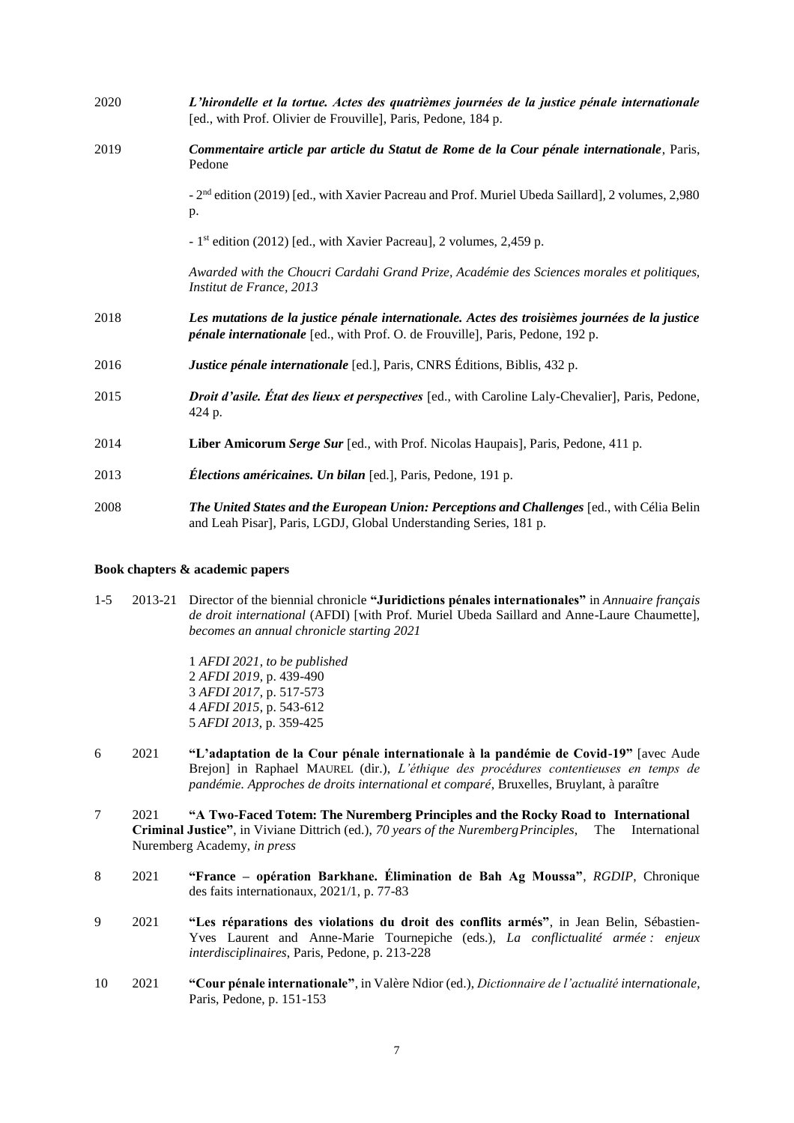| 2020 | L'hirondelle et la tortue. Actes des quatrièmes journées de la justice pénale internationale<br>[ed., with Prof. Olivier de Frouville], Paris, Pedone, 184 p.                           |  |
|------|-----------------------------------------------------------------------------------------------------------------------------------------------------------------------------------------|--|
| 2019 | Commentaire article par article du Statut de Rome de la Cour pénale internationale, Paris,<br>Pedone                                                                                    |  |
|      | - 2 <sup>nd</sup> edition (2019) [ed., with Xavier Pacreau and Prof. Muriel Ubeda Saillard], 2 volumes, 2,980<br>p.                                                                     |  |
|      | - 1 <sup>st</sup> edition (2012) [ed., with Xavier Pacreau], 2 volumes, 2,459 p.                                                                                                        |  |
|      | Awarded with the Choucri Cardahi Grand Prize, Académie des Sciences morales et politiques,<br>Institut de France, 2013                                                                  |  |
| 2018 | Les mutations de la justice pénale internationale. Actes des troisièmes journées de la justice<br><i>pénale internationale</i> [ed., with Prof. O. de Frouville], Paris, Pedone, 192 p. |  |
| 2016 | Justice pénale internationale [ed.], Paris, CNRS Éditions, Biblis, 432 p.                                                                                                               |  |
| 2015 | Droit d'asile. État des lieux et perspectives [ed., with Caroline Laly-Chevalier], Paris, Pedone,<br>424 p.                                                                             |  |
| 2014 | Liber Amicorum Serge Sur [ed., with Prof. Nicolas Haupais], Paris, Pedone, 411 p.                                                                                                       |  |
| 2013 | <i>Élections américaines. Un bilan</i> [ed.], Paris, Pedone, 191 p.                                                                                                                     |  |
| 2008 | The United States and the European Union: Perceptions and Challenges [ed., with Célia Belin<br>and Leah Pisar], Paris, LGDJ, Global Understanding Series, 181 p.                        |  |

### **Book chapters & academic papers**

1-5 2013-21 Director of the biennial chronicle **"Juridictions pénales internationales"** in *Annuaire français de droit international* (AFDI) [with Prof. Muriel Ubeda Saillard and Anne-Laure Chaumette], *becomes an annual chronicle starting 2021*

> *AFDI 2021*, *to be published AFDI 2019*, p. 439-490 *AFDI 2017*, p. 517-573 *AFDI 2015*, p. 543-612 *AFDI 2013*, p. 359-425

- 6 2021 **"L'adaptation de la Cour pénale internationale à la pandémie de Covid-19"** [avec Aude Brejon] in Raphael MAUREL (dir.), *L'éthique des procédures contentieuses en temps de pandémie. Approches de droits international et comparé*, Bruxelles, Bruylant, à paraître
- 7 2021 **"A Two-Faced Totem: The Nuremberg Principles and the Rocky Road to International Criminal Justice"**, in Viviane Dittrich (ed.), *70 years of the NurembergPrinciples*, The International Nuremberg Academy, *in press*
- 8 2021 **"France – opération Barkhane. Élimination de Bah Ag Moussa"**, *RGDIP*, Chronique des faits internationaux, 2021/1, p. 77-83
- 9 2021 **"Les réparations des violations du droit des conflits armés"**, in Jean Belin, Sébastien-Yves Laurent and Anne-Marie Tournepiche (eds.), *La conflictualité armée : enjeux interdisciplinaires*, Paris, Pedone, p. 213-228
- 10 2021 **"Cour pénale internationale"**, in Valère Ndior (ed.), *Dictionnaire de l'actualité internationale*, Paris, Pedone, p. 151-153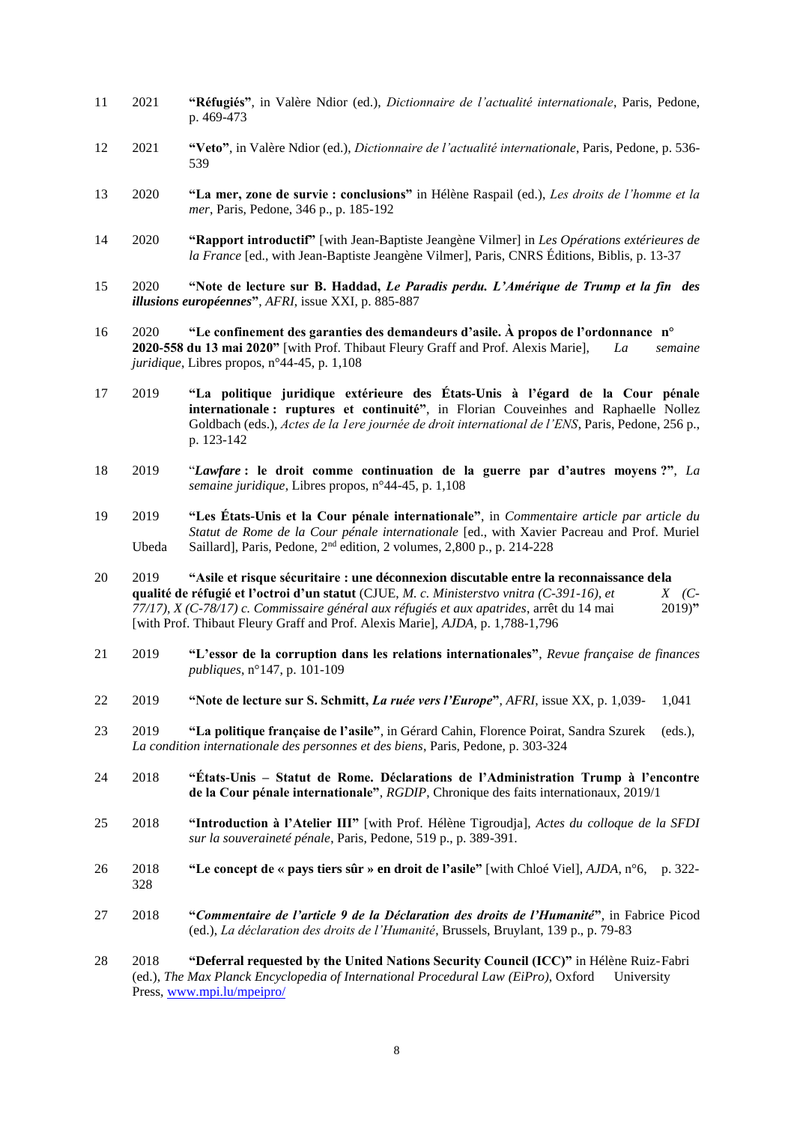- 11 2021 **"Réfugiés"**, in Valère Ndior (ed.), *Dictionnaire de l'actualité internationale*, Paris, Pedone, p. 469-473
- 12 2021 **"Veto"**, in Valère Ndior (ed.), *Dictionnaire de l'actualité internationale*, Paris, Pedone, p. 536- 539
- 13 2020 **"La mer, zone de survie : conclusions"** in Hélène Raspail (ed.), *Les droits de l'homme et la mer*, Paris, Pedone, 346 p., p. 185-192
- 14 2020 **"Rapport introductif"** [with Jean-Baptiste Jeangène Vilmer] in *Les Opérations extérieures de la France* [ed., with Jean-Baptiste Jeangène Vilmer], Paris, CNRS Éditions, Biblis, p. 13-37
- 15 2020 **"Note de lecture sur B. Haddad,** *Le Paradis perdu. L'Amérique de Trump et la fin des illusions européennes***"**, *AFRI*, issue XXI, p. 885-887
- 16 2020 **"Le confinement des garanties des demandeurs d'asile. À propos de l'ordonnance n° 2020-558 du 13 mai 2020"** [with Prof. Thibaut Fleury Graff and Prof. Alexis Marie], *La semaine juridique*, Libres propos, n°44-45, p. 1,108
- 17 2019 **"La politique juridique extérieure des États-Unis à l'égard de la Cour pénale internationale : ruptures et continuité"**, in Florian Couveinhes and Raphaelle Nollez Goldbach (eds.), *Actes de la 1ere journée de droit international de l'ENS*, Paris, Pedone, 256 p., p. 123-142
- 18 2019 "*Lawfare* **: le droit comme continuation de la guerre par d'autres moyens ?"**, *La semaine juridique*, Libres propos, n°44-45, p. 1,108
- 19 2019 **"Les États-Unis et la Cour pénale internationale"**, in *Commentaire article par article du Statut de Rome de la Cour pénale internationale* [ed., with Xavier Pacreau and Prof. Muriel Ubeda Saillard], Paris, Pedone, 2nd edition, 2 volumes, 2,800 p., p. 214-228
- 20 2019 **"Asile et risque sécuritaire : une déconnexion discutable entre la reconnaissance dela qualité de réfugié et l'octroi d'un statut** (CJUE, *M. c. Ministerstvo vnitra (C-391-16), et X. (C-77/17), X (C-78/17) c. Commissaire général aux réfugiés et aux apatrides, arrêt du 14 mai* 2019)" *77/17), X (C-78/17) c. Commissaire général aux réfugiés et aux apatrides*, arrêt du 14 mai 2019)**"** [with Prof. Thibaut Fleury Graff and Prof. Alexis Marie], *AJDA*, p. 1,788-1,796
- 21 2019 **"L'essor de la corruption dans les relations internationales"**, *Revue française de finances publiques*, n°147, p. 101-109
- 22 2019 **"Note de lecture sur S. Schmitt,** *La ruée vers l'Europe***"**, *AFRI*, issue XX, p. 1,039- 1,041
- 23 2019 **"La politique française de l'asile"**, in Gérard Cahin, Florence Poirat, Sandra Szurek (eds.), *La condition internationale des personnes et des biens*, Paris, Pedone, p. 303-324
- 24 2018 **"États-Unis – Statut de Rome. Déclarations de l'Administration Trump à l'encontre de la Cour pénale internationale"**, *RGDIP*, Chronique des faits internationaux, 2019/1
- 25 2018 **"Introduction à l'Atelier III"** [with Prof. Hélène Tigroudja], *Actes du colloque de la SFDI sur la souveraineté pénale*, Paris, Pedone, 519 p., p. 389-391.
- 26 2018 **"Le concept de « pays tiers sûr » en droit de l'asile"** [with Chloé Viel], *AJDA*, n°6, p. 322- 328
- 27 2018 **"***Commentaire de l'article 9 de la Déclaration des droits de l'Humanité***"**, in Fabrice Picod (ed.), *La déclaration des droits de l'Humanité*, Brussels, Bruylant, 139 p., p. 79-83
- 28 2018 **"Deferral requested by the United Nations Security Council (ICC)"** in Hélène Ruiz-Fabri (ed.), *The Max Planck Encyclopedia of International Procedural Law (EiPro)*, Oxford University Press, [www.mpi.lu/mpeipro/](http://www.mpi.lu/mpeipro/)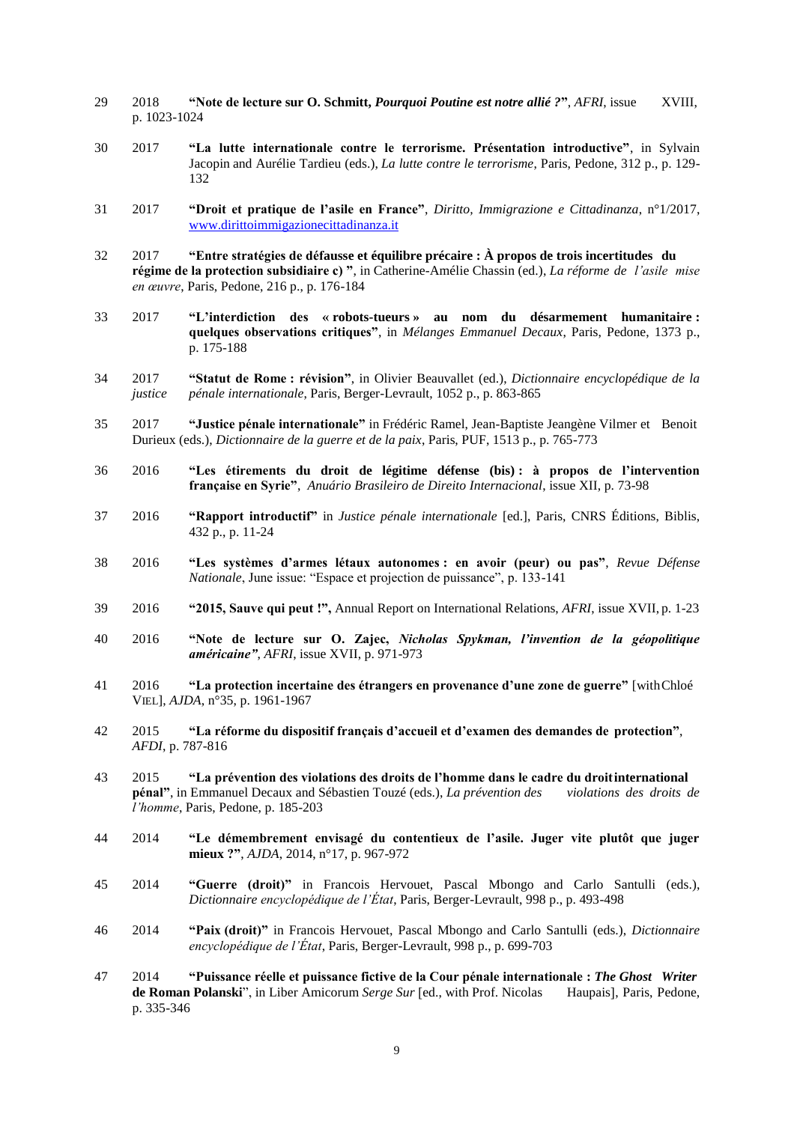- 29 2018 **"Note de lecture sur O. Schmitt,** *Pourquoi Poutine est notre allié ?***"**, *AFRI*, issue XVIII, p. 1023-1024
- 30 2017 **"La lutte internationale contre le terrorisme. Présentation introductive"**, in Sylvain Jacopin and Aurélie Tardieu (eds.), *La lutte contre le terrorisme*, Paris, Pedone, 312 p., p. 129- 132
- 31 2017 **"Droit et pratique de l'asile en France"**, *Diritto, Immigrazione e Cittadinanza*, n°1/2017, [www.dirittoimmigazionecittadinanza.it](http://www.dirittoimmigazionecittadinanza.it/)
- 32 2017 **"Entre stratégies de défausse et équilibre précaire : À propos de trois incertitudes du régime de la protection subsidiaire c) "**, in Catherine-Amélie Chassin (ed.), *La réforme de l'asile mise en œuvre*, Paris, Pedone, 216 p., p. 176-184
- 33 2017 **"L'interdiction des « robots-tueurs » au nom du désarmement humanitaire : quelques observations critiques"**, in *Mélanges Emmanuel Decaux*, Paris, Pedone, 1373 p., p. 175-188
- 34 2017 **"Statut de Rome : révision"**, in Olivier Beauvallet (ed.), *Dictionnaire encyclopédique de la justice pénale internationale*, Paris, Berger-Levrault, 1052 p., p. 863-865
- 35 2017 **"Justice pénale internationale"** in Frédéric Ramel, Jean-Baptiste Jeangène Vilmer et Benoit Durieux (eds.), *Dictionnaire de la guerre et de la paix*, Paris, PUF, 1513 p., p. 765-773
- 36 2016 **"Les étirements du droit de légitime défense (bis) : à propos de l'intervention française en Syrie"**, *Anuário Brasileiro de Direito Internacional*, issue XII, p. 73-98
- 37 2016 **"Rapport introductif"** in *Justice pénale internationale* [ed.], Paris, CNRS Éditions, Biblis, 432 p., p. 11-24
- 38 2016 **"Les systèmes d'armes létaux autonomes : en avoir (peur) ou pas"**, *Revue Défense Nationale*, June issue: "Espace et projection de puissance", p. 133-141
- 39 2016 **"2015, Sauve qui peut !",** Annual Report on International Relations, *AFRI*, issue XVII, p. 1-23
- 40 2016 **"Note de lecture sur O. Zajec,** *Nicholas Spykman, l'invention de la géopolitique américaine"*, *AFRI*, issue XVII, p. 971-973
- 41 2016 **"La protection incertaine des étrangers en provenance d'une zone de guerre"** [withChloé VIEL], *AJDA*, n°35, p. 1961-1967
- 42 2015 **"La réforme du dispositif français d'accueil et d'examen des demandes de protection"**, *AFDI*, p. 787-816
- 43 2015 **"La prévention des violations des droits de l'homme dans le cadre du droitinternational pénal"**, in Emmanuel Decaux and Sébastien Touzé (eds.), *La prévention des violations des droits de l'homme*, Paris, Pedone, p. 185-203
- 44 2014 **"Le démembrement envisagé du contentieux de l'asile. Juger vite plutôt que juger mieux ?"**, *AJDA*, 2014, n°17, p. 967-972
- 45 2014 **"Guerre (droit)"** in Francois Hervouet, Pascal Mbongo and Carlo Santulli (eds.), *Dictionnaire encyclopédique de l'État*, Paris, Berger-Levrault, 998 p., p. 493-498
- 46 2014 **"Paix (droit)"** in Francois Hervouet, Pascal Mbongo and Carlo Santulli (eds.), *Dictionnaire encyclopédique de l'État*, Paris, Berger-Levrault, 998 p., p. 699-703
- 47 2014 **"Puissance réelle et puissance fictive de la Cour pénale internationale :** *The Ghost Writer*  **de Roman Polanski**", in Liber Amicorum *Serge Sur* [ed., with Prof. Nicolas Haupais], Paris, Pedone, p. 335-346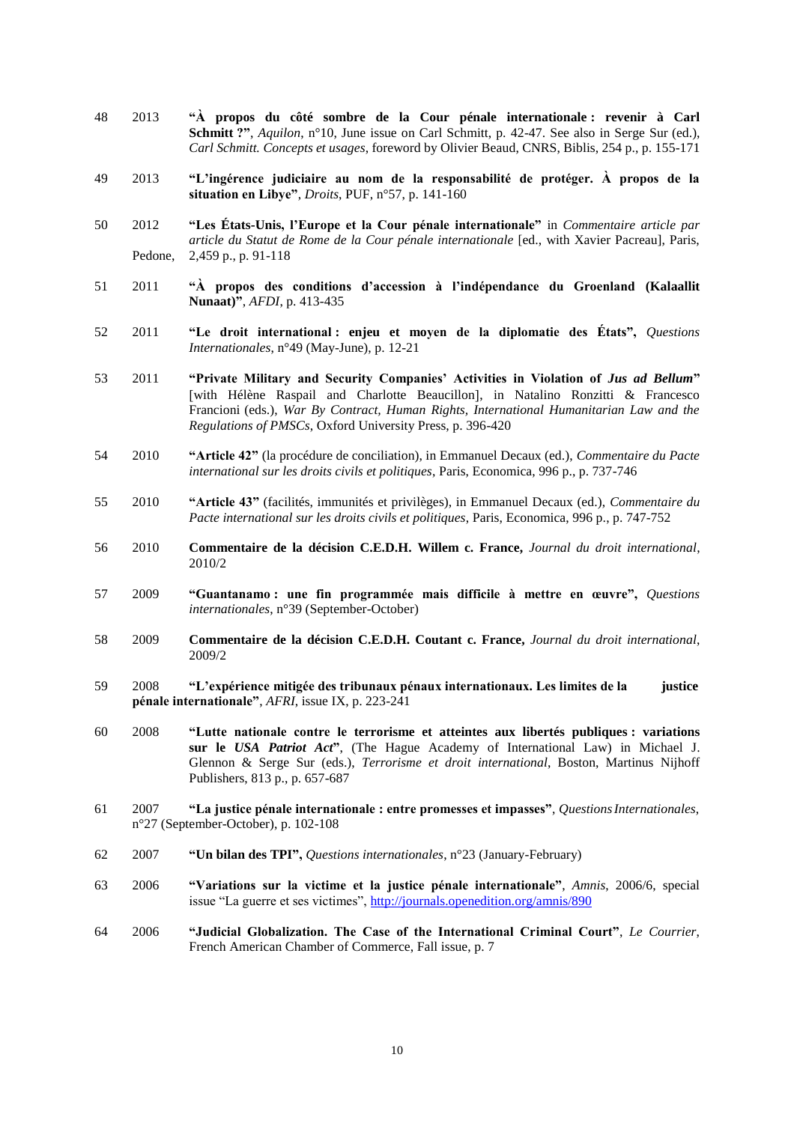- 48 2013 **"À propos du côté sombre de la Cour pénale internationale : revenir à Carl Schmitt ?"**, *Aquilon*, n°10, June issue on Carl Schmitt, p. 42-47. See also in Serge Sur (ed.), *Carl Schmitt. Concepts et usages*, foreword by Olivier Beaud, CNRS, Biblis, 254 p., p. 155-171
- 49 2013 **"L'ingérence judiciaire au nom de la responsabilité de protéger. À propos de la situation en Libye"**, *Droits*, PUF, n°57, p. 141-160
- 50 2012 **"Les États-Unis, l'Europe et la Cour pénale internationale"** in *Commentaire article par article du Statut de Rome de la Cour pénale internationale* [ed., with Xavier Pacreau], Paris, Pedone, 2,459 p., p. 91-118
- 51 2011 **"À propos des conditions d'accession à l'indépendance du Groenland (Kalaallit Nunaat)"**, *AFDI*, p. 413-435
- 52 2011 **"Le droit international : enjeu et moyen de la diplomatie des États",** *Questions Internationales*, n°49 (May-June), p. 12-21
- 53 2011 **"Private Military and Security Companies' Activities in Violation of** *Jus ad Bellum***"** [with Hélène Raspail and Charlotte Beaucillon], in Natalino Ronzitti & Francesco Francioni (eds.), *War By Contract, Human Rights, International Humanitarian Law and the Regulations of PMSCs*, Oxford University Press, p. 396-420
- 54 2010 **"Article 42"** (la procédure de conciliation), in Emmanuel Decaux (ed.), *Commentaire du Pacte international sur les droits civils et politiques*, Paris, Economica, 996 p., p. 737-746
- 55 2010 **"Article 43"** (facilités, immunités et privilèges), in Emmanuel Decaux (ed.), *Commentaire du Pacte international sur les droits civils et politiques*, Paris, Economica, 996 p., p. 747-752
- 56 2010 **Commentaire de la décision C.E.D.H. Willem c. France,** *Journal du droit international*, 2010/2
- 57 2009 **"Guantanamo : une fin programmée mais difficile à mettre en œuvre",** *Questions internationales*, n°39 (September-October)
- 58 2009 **Commentaire de la décision C.E.D.H. Coutant c. France,** *Journal du droit international*, 2009/2
- 59 2008 **"L'expérience mitigée des tribunaux pénaux internationaux. Les limites de la justice pénale internationale"**, *AFRI*, issue IX, p. 223-241
- 60 2008 **"Lutte nationale contre le terrorisme et atteintes aux libertés publiques : variations sur le** *USA Patriot Act***"**, (The Hague Academy of International Law) in Michael J. Glennon & Serge Sur (eds.), *Terrorisme et droit international*, Boston, Martinus Nijhoff Publishers, 813 p., p. 657-687
- 61 2007 **"La justice pénale internationale : entre promesses et impasses"**, *QuestionsInternationales*, n°27 (September-October), p. 102-108
- 62 2007 **"Un bilan des TPI",** *Questions internationales*, n°23 (January-February)
- 63 2006 **"Variations sur la victime et la justice pénale internationale"**, *Amnis*, 2006/6, special issue "La guerre et ses victimes",<http://journals.openedition.org/amnis/890>
- 64 2006 **"Judicial Globalization. The Case of the International Criminal Court"**, *Le Courrier*, French American Chamber of Commerce, Fall issue, p. 7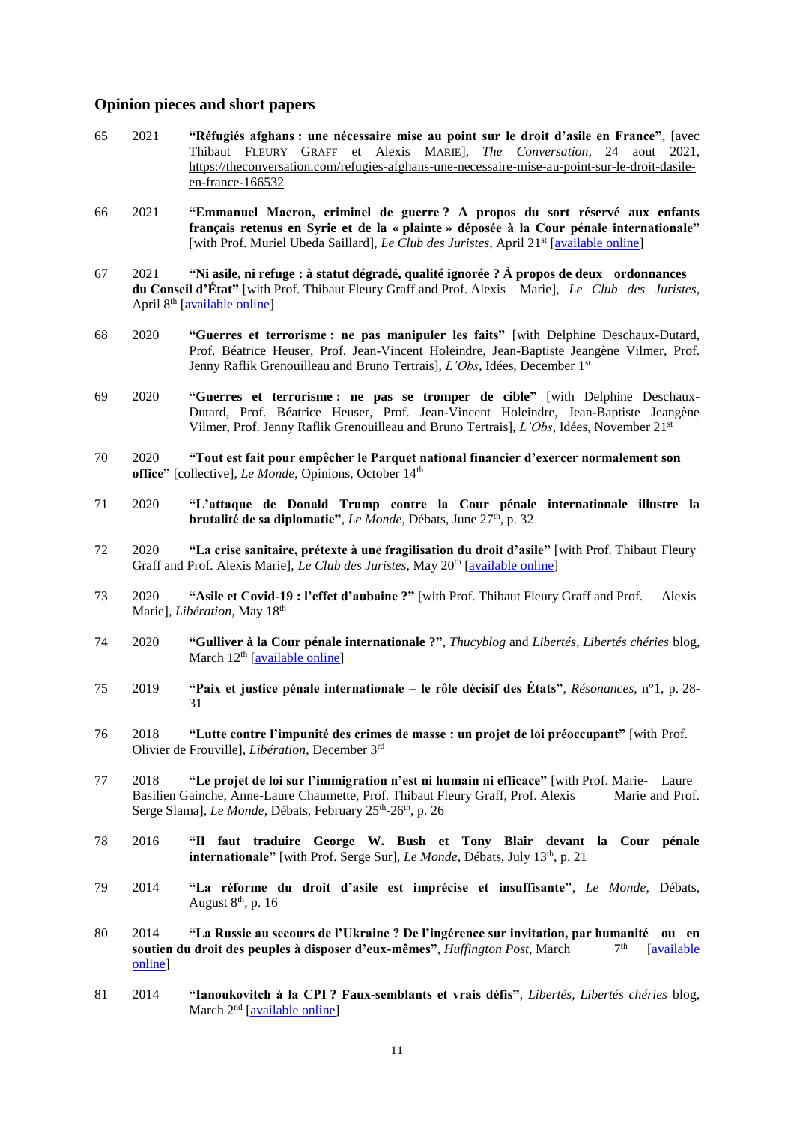### **Opinion pieces and short papers**

- 65 2021 **"Réfugiés afghans : une nécessaire mise au point sur le droit d'asile en France"**, [avec Thibaut FLEURY GRAFF et Alexis MARIE], *The Conversation*, 24 aout 2021, [https://theconversation.com/refugies-afghans-une-necessaire-mise-au-point-sur-le-droit-dasile](https://theconversation.com/refugies-afghans-une-necessaire-mise-au-point-sur-le-droit-dasile-en-france-166532)[en-france-166532](https://theconversation.com/refugies-afghans-une-necessaire-mise-au-point-sur-le-droit-dasile-en-france-166532)
- 66 2021 **"Emmanuel Macron, criminel de guerre ? A propos du sort réservé aux enfants français retenus en Syrie et de la « plainte » déposée à la Cour pénale internationale"** [with Prof. Muriel Ubeda Saillard], *Le Club des Juristes*, April 21<sup>st</sup> [\[available online\]](https://blog.leclubdesjuristes.com/emmanuel-macron-criminel-de-guerre-a-propos-du-sort-reserve-aux-enfants-francais-detenus-en-syrie-et-de-la-plainte-deposee-a-la-cour-penale-internationale-par-julian-fernandez-e/)
- 67 2021 **"Ni asile, ni refuge : à statut dégradé, qualité ignorée ? À propos de deux ordonnances du Conseil d'État"** [with Prof. Thibaut Fleury Graff and Prof. Alexis Marie], *Le Club des Juristes*, April 8th [\[available online\]](https://blog.leclubdesjuristes.com/ni-asile-ni-refuge-a-statut-degrade-qualite-ignoree/)
- 68 2020 **"Guerres et terrorisme : ne pas manipuler les faits"** [with Delphine Deschaux-Dutard, Prof. Béatrice Heuser, Prof. Jean-Vincent Holeindre, Jean-Baptiste Jeangène Vilmer, Prof. Jenny Raflik Grenouilleau and Bruno Tertrais], *L'Obs*, Idées, December 1st
- 69 2020 **"Guerres et terrorisme : ne pas se tromper de cible"** [with Delphine Deschaux-Dutard, Prof. Béatrice Heuser, Prof. Jean-Vincent Holeindre, Jean-Baptiste Jeangène Vilmer, Prof. Jenny Raflik Grenouilleau and Bruno Tertrais], *L'Obs*, Idées, November 21 st
- 70 2020 **"Tout est fait pour empêcher le Parquet national financier d'exercer normalement son**  office" [collective], *Le Monde*, Opinions, October 14<sup>th</sup>
- 71 2020 **"L'attaque de Donald Trump contre la Cour pénale internationale illustre la brutalité de sa diplomatie"**, *Le Monde*, Débats, June 27<sup>th</sup>, p. 32
- 72 2020 **"La crise sanitaire, prétexte à une fragilisation du droit d'asile"** [with Prof. Thibaut Fleury Graff and Prof. Alexis Marie], *Le Club des Juristes*, May 20th [\[available online\]](https://blog.leclubdesjuristes.com/la-crise-sanitaire-pretexte-a-une-fragilisation-du-droit-dasile/)
- 73 2020 **"Asile et Covid-19 : l'effet d'aubaine ?"** [with Prof. Thibaut Fleury Graff and Prof. Alexis Marie], *Libération*, May 18<sup>th</sup>
- 74 2020 **"Gulliver à la Cour pénale internationale ?"**, *Thucyblog* and *Libertés, Libertés chéries* blog, March  $12<sup>th</sup>$  [\[available online\]](https://www.afri-ct.org/2020/thucyblog-n-18-gulliver-devant-la-cour-penale-internationale/)
- 75 2019 **"Paix et justice pénale internationale – le rôle décisif des États"**, *Résonances*, n°1, p. 28- 31
- 76 2018 **"Lutte contre l'impunité des crimes de masse : un projet de loi préoccupant"** [with Prof. Olivier de Frouville], *Libération*, December 3rd
- 77 2018 **"Le projet de loi sur l'immigration n'est ni humain ni efficace"** [with Prof. Marie- Laure Basilien Gainche, Anne-Laure Chaumette, Prof. Thibaut Fleury Graff, Prof. Alexis Marie and Prof. Serge Slama], *Le Monde*, Débats, February 25<sup>th</sup>-26<sup>th</sup>, p. 26
- 78 2016 **"Il faut traduire George W. Bush et Tony Blair devant la Cour pénale internationale"** [with Prof. Serge Sur], *Le Monde*, Débats, July 13th, p. 21
- 79 2014 **"La réforme du droit d'asile est imprécise et insuffisante"**, *Le Monde*, Débats, August  $8<sup>th</sup>$ , p. 16
- 80 2014 **"La Russie au secours de l'Ukraine ? De l'ingérence sur invitation, par humanité ou en soutien du droit des peuples à disposer d'eux-mêmes"**, *Huffington Post,* March 7 [available] [online\]](https://www.huffingtonpost.fr/julian-fernandez/droit-international-russie-ukraine_b_4906837.html)
- 81 2014 **"Ianoukovitch à la CPI ? Faux-semblants et vrais défis"**, *Libertés, Libertés chéries* blog, March 2<sup>nd</sup> [\[available online\]](http://libertescheries.blogspot.com/2014/03/les-invites-de-llc-julian-fernandez_2.html)